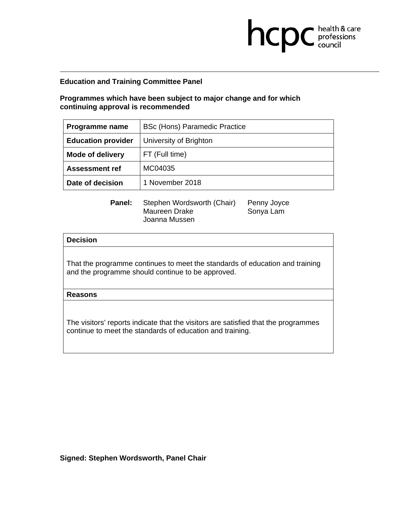**Programmes which have been subject to major change and for which continuing approval is recommended** 

| Programme name            | <b>BSc (Hons) Paramedic Practice</b> |
|---------------------------|--------------------------------------|
| <b>Education provider</b> | University of Brighton               |
| <b>Mode of delivery</b>   | FT (Full time)                       |
| <b>Assessment ref</b>     | MC04035                              |
| Date of decision          | 1 November 2018                      |

**health & care** 

| Panel: | Stephen Wordsworth (Chair) | Penny Joyce |
|--------|----------------------------|-------------|
|        | Maureen Drake              | Sonya Lam   |
|        | Joanna Mussen              |             |

## **Decision**

That the programme continues to meet the standards of education and training and the programme should continue to be approved.

#### **Reasons**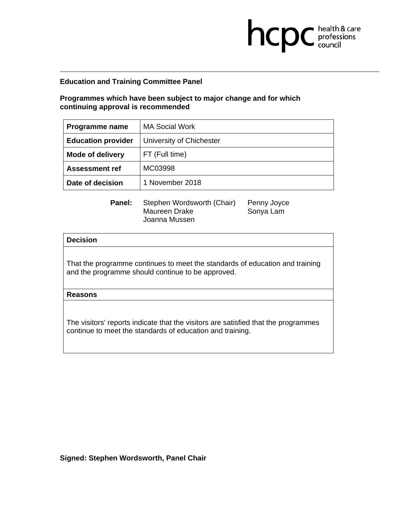**Programmes which have been subject to major change and for which continuing approval is recommended** 

| Programme name            | <b>MA Social Work</b>    |
|---------------------------|--------------------------|
| <b>Education provider</b> | University of Chichester |
| <b>Mode of delivery</b>   | FT (Full time)           |
| <b>Assessment ref</b>     | MC03998                  |
| Date of decision          | 1 November 2018          |

**health & care** 

| <b>Panel:</b> | Stephen Wordsworth (Chair) | Penny Joyce |
|---------------|----------------------------|-------------|
|               | Maureen Drake              | Sonya Lam   |
|               | Joanna Mussen              |             |

## **Decision**

That the programme continues to meet the standards of education and training and the programme should continue to be approved.

#### **Reasons**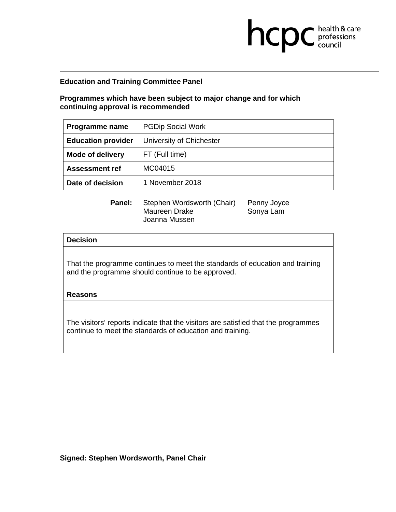**Programmes which have been subject to major change and for which continuing approval is recommended** 

| Programme name            | <b>PGDip Social Work</b> |
|---------------------------|--------------------------|
| <b>Education provider</b> | University of Chichester |
| <b>Mode of delivery</b>   | FT (Full time)           |
| <b>Assessment ref</b>     | MC04015                  |
| Date of decision          | 1 November 2018          |

**health & care** 

| Panel: | Stephen Wordsworth (Chair) | Penny Joyce |
|--------|----------------------------|-------------|
|        | Maureen Drake              | Sonya Lam   |
|        | Joanna Mussen              |             |

## **Decision**

That the programme continues to meet the standards of education and training and the programme should continue to be approved.

#### **Reasons**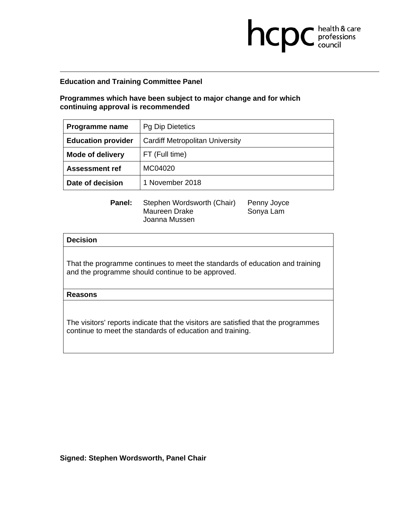**Programmes which have been subject to major change and for which continuing approval is recommended** 

| Programme name            | <b>Pg Dip Dietetics</b>                |
|---------------------------|----------------------------------------|
| <b>Education provider</b> | <b>Cardiff Metropolitan University</b> |
| <b>Mode of delivery</b>   | FT (Full time)                         |
| <b>Assessment ref</b>     | MC04020                                |
| Date of decision          | 1 November 2018                        |

**health & care** 

| <b>Panel:</b> | Stephen Wordsworth (Chair) | Penny Joyce |
|---------------|----------------------------|-------------|
|               | Maureen Drake              | Sonya Lam   |
|               | Joanna Mussen              |             |

## **Decision**

That the programme continues to meet the standards of education and training and the programme should continue to be approved.

#### **Reasons**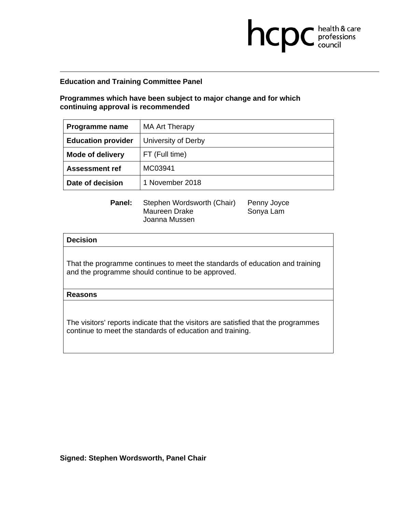**Programmes which have been subject to major change and for which continuing approval is recommended** 

| Programme name            | <b>MA Art Therapy</b> |
|---------------------------|-----------------------|
| <b>Education provider</b> | University of Derby   |
| <b>Mode of delivery</b>   | FT (Full time)        |
| <b>Assessment ref</b>     | MC03941               |
| Date of decision          | 1 November 2018       |

**health & care** 

| Panel: | Stephen Wordsworth (Chair) | Penny Joyce |
|--------|----------------------------|-------------|
|        | Maureen Drake              | Sonya Lam   |
|        | Joanna Mussen              |             |

## **Decision**

That the programme continues to meet the standards of education and training and the programme should continue to be approved.

#### **Reasons**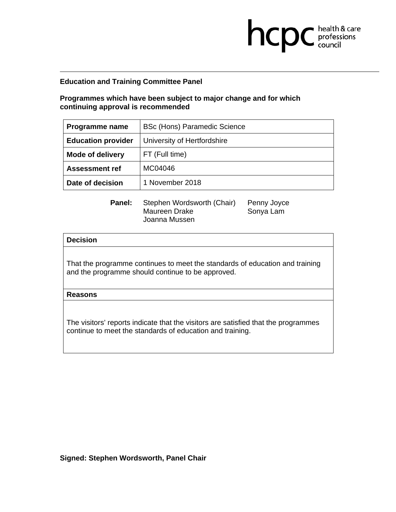**Programmes which have been subject to major change and for which continuing approval is recommended** 

| Programme name            | BSc (Hons) Paramedic Science |
|---------------------------|------------------------------|
| <b>Education provider</b> | University of Hertfordshire  |
| <b>Mode of delivery</b>   | FT (Full time)               |
| <b>Assessment ref</b>     | MC04046                      |
| Date of decision          | 1 November 2018              |

 $Joyce$ 

**health & care** 

| <b>Panel:</b> | Stephen Wordsworth (Chair) | Penny Joyce |
|---------------|----------------------------|-------------|
|               | Maureen Drake              | Sonya Lam   |
|               | Joanna Mussen              |             |

## **Decision**

That the programme continues to meet the standards of education and training and the programme should continue to be approved.

#### **Reasons**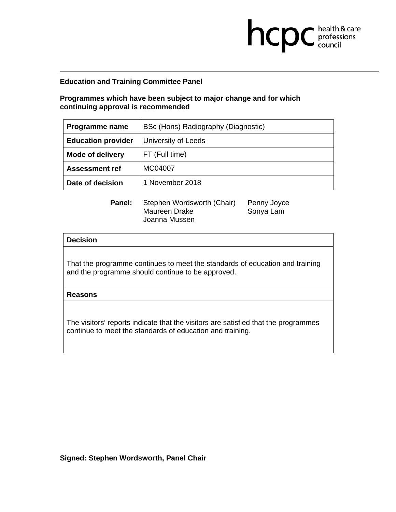## **Programmes which have been subject to major change and for which continuing approval is recommended**

| Programme name            | BSc (Hons) Radiography (Diagnostic) |
|---------------------------|-------------------------------------|
| <b>Education provider</b> | University of Leeds                 |
| <b>Mode of delivery</b>   | FT (Full time)                      |
| <b>Assessment ref</b>     | MC04007                             |
| Date of decision          | 1 November 2018                     |

 $Joyce$ 

**health & care** 

| Panel: | Stephen Wordsworth (Chair) | Penny Joyc |
|--------|----------------------------|------------|
|        | Maureen Drake              | Sonya Lam  |
|        | Joanna Mussen              |            |

## **Decision**

That the programme continues to meet the standards of education and training and the programme should continue to be approved.

#### **Reasons**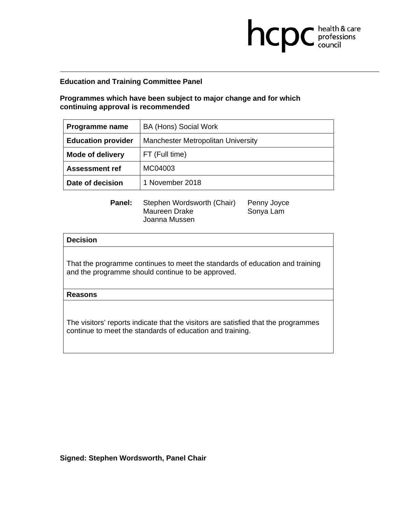**Programmes which have been subject to major change and for which continuing approval is recommended** 

| Programme name            | BA (Hons) Social Work              |
|---------------------------|------------------------------------|
| <b>Education provider</b> | Manchester Metropolitan University |
| <b>Mode of delivery</b>   | FT (Full time)                     |
| <b>Assessment ref</b>     | MC04003                            |
| Date of decision          | 1 November 2018                    |

**health & care** 

| <b>Panel:</b> | Stephen Wordsworth (Chair) | Penny Joyce |
|---------------|----------------------------|-------------|
|               | Maureen Drake              | Sonya Lam   |
|               | Joanna Mussen              |             |

## **Decision**

That the programme continues to meet the standards of education and training and the programme should continue to be approved.

#### **Reasons**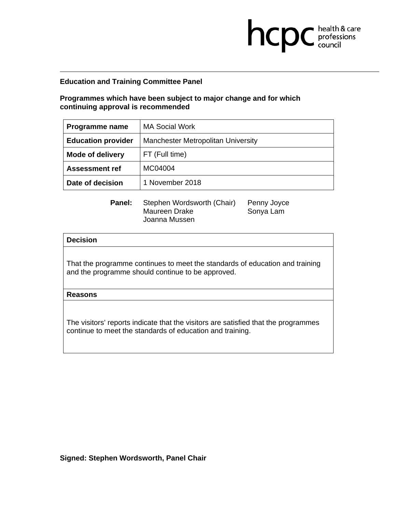**Programmes which have been subject to major change and for which continuing approval is recommended** 

| Programme name            | <b>MA Social Work</b>              |
|---------------------------|------------------------------------|
| <b>Education provider</b> | Manchester Metropolitan University |
| <b>Mode of delivery</b>   | FT (Full time)                     |
| <b>Assessment ref</b>     | MC04004                            |
| Date of decision          | 1 November 2018                    |

**health & care** 

| <b>Panel:</b> | Stephen Wordsworth (Chair) | Penny Joyce |
|---------------|----------------------------|-------------|
|               | Maureen Drake              | Sonya Lam   |
|               | Joanna Mussen              |             |

## **Decision**

That the programme continues to meet the standards of education and training and the programme should continue to be approved.

#### **Reasons**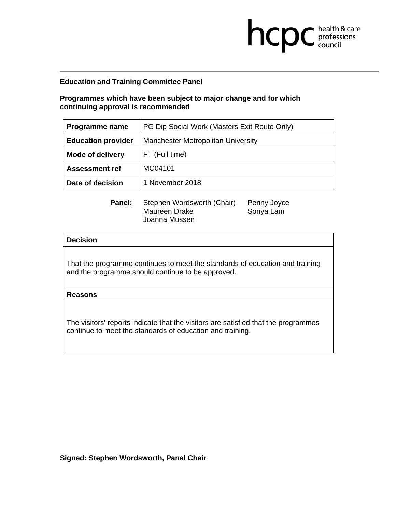## **Programmes which have been subject to major change and for which continuing approval is recommended**

| Programme name            | PG Dip Social Work (Masters Exit Route Only) |
|---------------------------|----------------------------------------------|
| <b>Education provider</b> | Manchester Metropolitan University           |
| <b>Mode of delivery</b>   | FT (Full time)                               |
| <b>Assessment ref</b>     | MC04101                                      |
| Date of decision          | 1 November 2018                              |

**health & care** 

| <b>Panel:</b> | Stephen Wordsworth (Chair) | Penny Joyce |
|---------------|----------------------------|-------------|
|               | Maureen Drake              | Sonya Lam   |
|               | Joanna Mussen              |             |

## **Decision**

That the programme continues to meet the standards of education and training and the programme should continue to be approved.

#### **Reasons**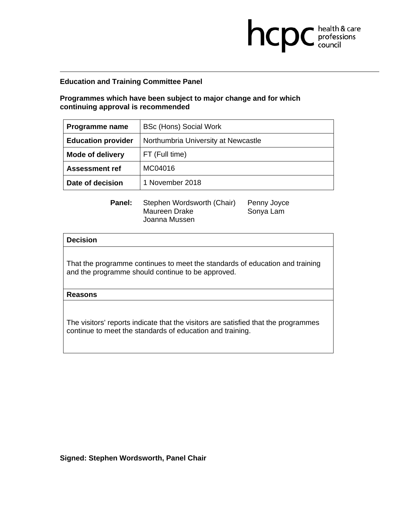## **Programmes which have been subject to major change and for which continuing approval is recommended**

| Programme name            | BSc (Hons) Social Work              |
|---------------------------|-------------------------------------|
| <b>Education provider</b> | Northumbria University at Newcastle |
| <b>Mode of delivery</b>   | FT (Full time)                      |
| <b>Assessment ref</b>     | MC04016                             |
| Date of decision          | 1 November 2018                     |

**health & care** 

| <b>Panel:</b> | Stephen Wordsworth (Chair) | Penny Joyce |
|---------------|----------------------------|-------------|
|               | Maureen Drake              | Sonya Lam   |
|               | Joanna Mussen              |             |

## **Decision**

That the programme continues to meet the standards of education and training and the programme should continue to be approved.

#### **Reasons**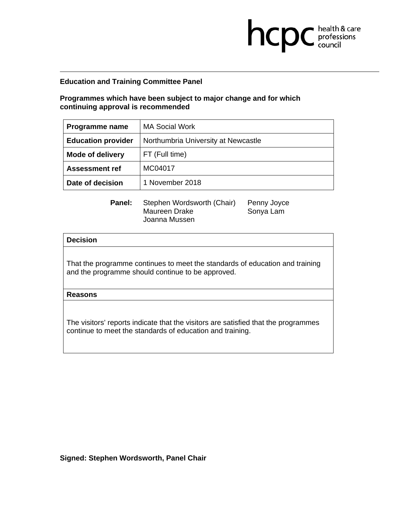**Programmes which have been subject to major change and for which continuing approval is recommended** 

| Programme name            | <b>MA Social Work</b>               |
|---------------------------|-------------------------------------|
| <b>Education provider</b> | Northumbria University at Newcastle |
| <b>Mode of delivery</b>   | FT (Full time)                      |
| <b>Assessment ref</b>     | MC04017                             |
| Date of decision          | 1 November 2018                     |

**health & care** 

| <b>Panel:</b> | Stephen Wordsworth (Chair) | Penny Joyce |
|---------------|----------------------------|-------------|
|               | Maureen Drake              | Sonya Lam   |
|               | Joanna Mussen              |             |

## **Decision**

That the programme continues to meet the standards of education and training and the programme should continue to be approved.

#### **Reasons**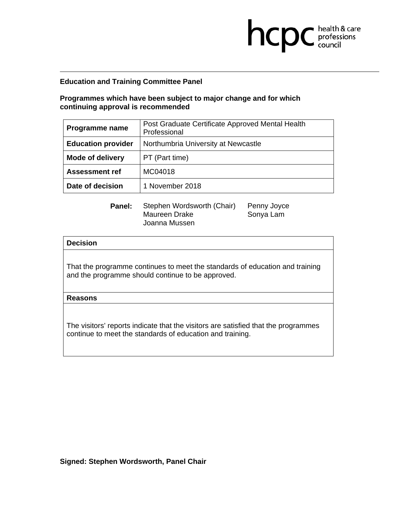## **Programmes which have been subject to major change and for which continuing approval is recommended**

| Programme name            | Post Graduate Certificate Approved Mental Health<br>Professional |
|---------------------------|------------------------------------------------------------------|
| <b>Education provider</b> | Northumbria University at Newcastle                              |
| <b>Mode of delivery</b>   | PT (Part time)                                                   |
| <b>Assessment ref</b>     | MC04018                                                          |
| Date of decision          | 1 November 2018                                                  |

**health & care** 

| Panel: | Stephen Wordsworth (Chair) | Penny Joyce |
|--------|----------------------------|-------------|
|        | Maureen Drake              | Sonya Lam   |
|        | Joanna Mussen              |             |

#### **Decision**

That the programme continues to meet the standards of education and training and the programme should continue to be approved.

#### **Reasons**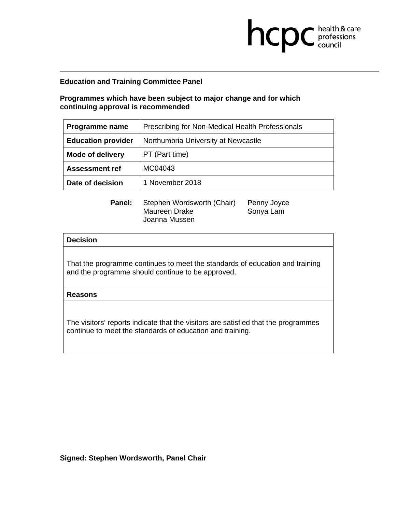## **Programmes which have been subject to major change and for which continuing approval is recommended**

| Programme name            | Prescribing for Non-Medical Health Professionals |  |
|---------------------------|--------------------------------------------------|--|
| <b>Education provider</b> | Northumbria University at Newcastle              |  |
| <b>Mode of delivery</b>   | PT (Part time)                                   |  |
| <b>Assessment ref</b>     | MC04043                                          |  |
| Date of decision          | 1 November 2018                                  |  |

**health & care** 

| <b>Panel:</b> | Stephen Wordsworth (Chair) | Penny Joyce |
|---------------|----------------------------|-------------|
|               | Maureen Drake              | Sonya Lam   |
|               | Joanna Mussen              |             |

## **Decision**

That the programme continues to meet the standards of education and training and the programme should continue to be approved.

#### **Reasons**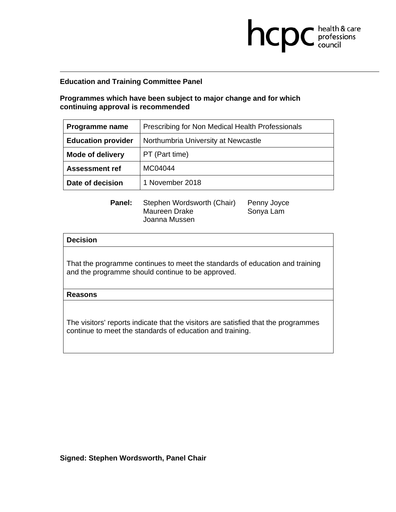## **Programmes which have been subject to major change and for which continuing approval is recommended**

| Programme name            | Prescribing for Non Medical Health Professionals |  |
|---------------------------|--------------------------------------------------|--|
| <b>Education provider</b> | Northumbria University at Newcastle              |  |
| <b>Mode of delivery</b>   | PT (Part time)                                   |  |
| <b>Assessment ref</b>     | MC04044                                          |  |
| Date of decision          | 1 November 2018                                  |  |

**health & care** 

| Panel: | Stephen Wordsworth (Chair) | Penny Joyce |
|--------|----------------------------|-------------|
|        | Maureen Drake              | Sonya Lam   |
|        | Joanna Mussen              |             |

## **Decision**

That the programme continues to meet the standards of education and training and the programme should continue to be approved.

#### **Reasons**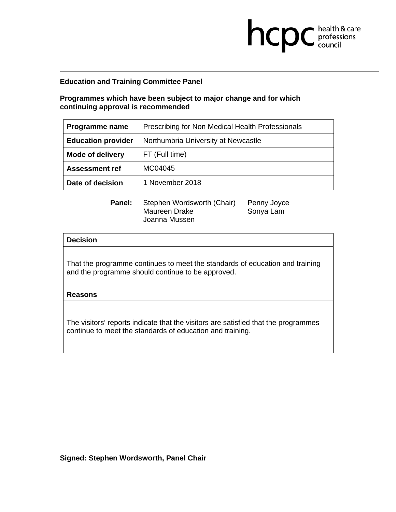## **Programmes which have been subject to major change and for which continuing approval is recommended**

| Programme name            | Prescribing for Non Medical Health Professionals |
|---------------------------|--------------------------------------------------|
| <b>Education provider</b> | Northumbria University at Newcastle              |
| <b>Mode of delivery</b>   | FT (Full time)                                   |
| <b>Assessment ref</b>     | MC04045                                          |
| Date of decision          | 1 November 2018                                  |

**health & care** 

| Panel: | Stephen Wordsworth (Chair) | Penny Joyce |
|--------|----------------------------|-------------|
|        | Maureen Drake              | Sonya Lam   |
|        | Joanna Mussen              |             |

## **Decision**

That the programme continues to meet the standards of education and training and the programme should continue to be approved.

#### **Reasons**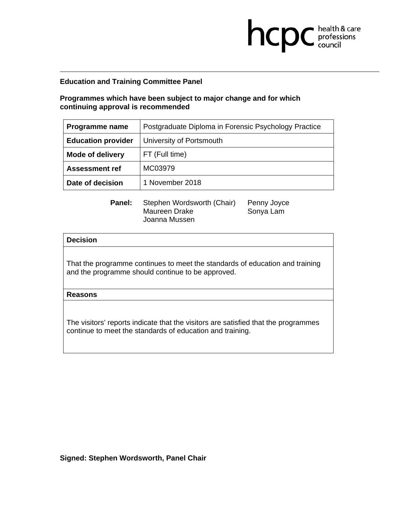## **Programmes which have been subject to major change and for which continuing approval is recommended**

| Programme name            | Postgraduate Diploma in Forensic Psychology Practice |
|---------------------------|------------------------------------------------------|
| <b>Education provider</b> | University of Portsmouth                             |
| <b>Mode of delivery</b>   | FT (Full time)                                       |
| <b>Assessment ref</b>     | MC03979                                              |
| Date of decision          | 1 November 2018                                      |

**health & care** 

| Panel: | Stephen Wordsworth (Chair) | Penny Joyce |
|--------|----------------------------|-------------|
|        | Maureen Drake              | Sonya Lam   |
|        | Joanna Mussen              |             |

## **Decision**

That the programme continues to meet the standards of education and training and the programme should continue to be approved.

#### **Reasons**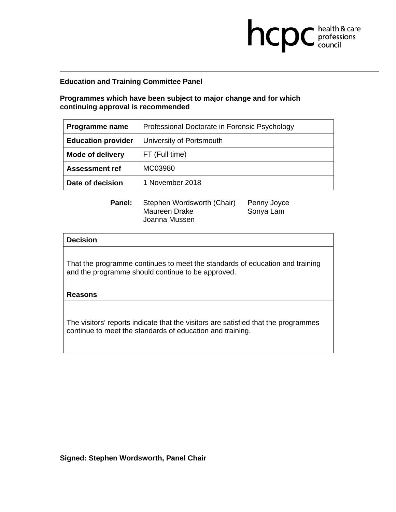## **Programmes which have been subject to major change and for which continuing approval is recommended**

| Programme name            | Professional Doctorate in Forensic Psychology |
|---------------------------|-----------------------------------------------|
| <b>Education provider</b> | University of Portsmouth                      |
| <b>Mode of delivery</b>   | FT (Full time)                                |
| <b>Assessment ref</b>     | MC03980                                       |
| Date of decision          | 1 November 2018                               |

**health & care** 

| <b>Panel:</b> | Stephen Wordsworth (Chair) | Penny Joyce |
|---------------|----------------------------|-------------|
|               | Maureen Drake              | Sonya Lam   |
|               | Joanna Mussen              |             |

## **Decision**

That the programme continues to meet the standards of education and training and the programme should continue to be approved.

#### **Reasons**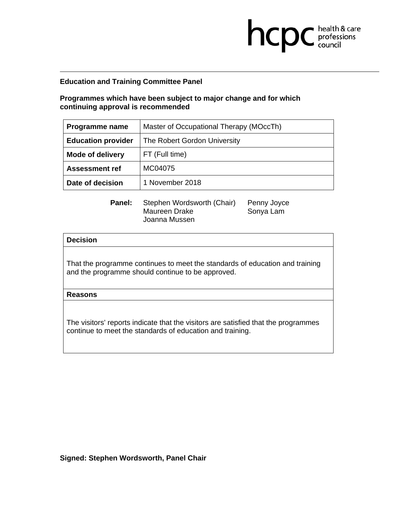## **Programmes which have been subject to major change and for which continuing approval is recommended**

| Programme name            | Master of Occupational Therapy (MOccTh) |  |
|---------------------------|-----------------------------------------|--|
| <b>Education provider</b> | The Robert Gordon University            |  |
| <b>Mode of delivery</b>   | FT (Full time)                          |  |
| <b>Assessment ref</b>     | MC04075                                 |  |
| Date of decision          | 1 November 2018                         |  |

**health & care** 

| <b>Panel:</b> | Stephen Wordsworth (Chair) | Penny Joyce |
|---------------|----------------------------|-------------|
|               | Maureen Drake              | Sonya Lam   |
|               | Joanna Mussen              |             |

## **Decision**

That the programme continues to meet the standards of education and training and the programme should continue to be approved.

#### **Reasons**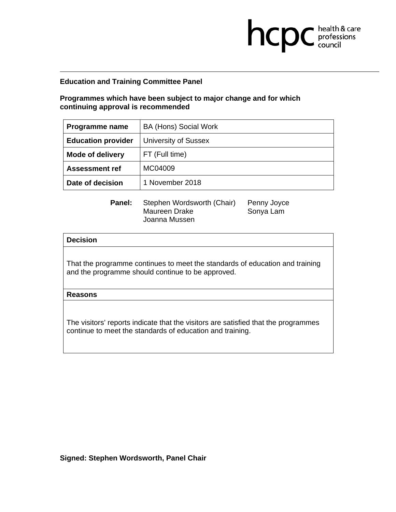**Programmes which have been subject to major change and for which continuing approval is recommended** 

| Programme name            | BA (Hons) Social Work       |
|---------------------------|-----------------------------|
| <b>Education provider</b> | <b>University of Sussex</b> |
| <b>Mode of delivery</b>   | FT (Full time)              |
| <b>Assessment ref</b>     | MC04009                     |
| Date of decision          | 1 November 2018             |

**health & care** 

| <b>Panel:</b> | Stephen Wordsworth (Chair) | Penny Joyce |
|---------------|----------------------------|-------------|
|               | Maureen Drake              | Sonya Lam   |
|               | Joanna Mussen              |             |

## **Decision**

That the programme continues to meet the standards of education and training and the programme should continue to be approved.

#### **Reasons**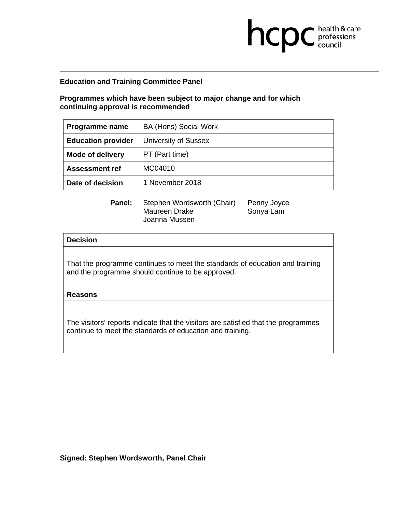**Programmes which have been subject to major change and for which continuing approval is recommended** 

| Programme name            | BA (Hons) Social Work       |
|---------------------------|-----------------------------|
| <b>Education provider</b> | <b>University of Sussex</b> |
| <b>Mode of delivery</b>   | PT (Part time)              |
| <b>Assessment ref</b>     | MC04010                     |
| Date of decision          | 1 November 2018             |

**health & care** 

| <b>Panel:</b> | Stephen Wordsworth (Chair) | Penny Joyce |
|---------------|----------------------------|-------------|
|               | Maureen Drake              | Sonya Lam   |
|               | Joanna Mussen              |             |

## **Decision**

That the programme continues to meet the standards of education and training and the programme should continue to be approved.

#### **Reasons**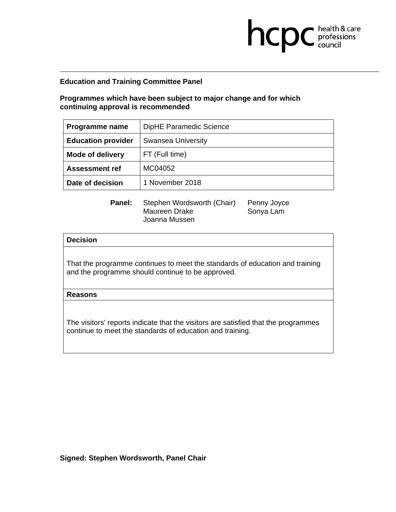**Programmes which have been subject to major change and for which continuing approval is recommended** 

| Programme name            | DipHE Paramedic Science   |
|---------------------------|---------------------------|
| <b>Education provider</b> | <b>Swansea University</b> |
| <b>Mode of delivery</b>   | FT (Full time)            |
| <b>Assessment ref</b>     | MC04052                   |
| Date of decision          | 1 November 2018           |

**health & care** 

| <b>Panel:</b> | Stephen Wordsworth (Chair) | Penny Joyce |
|---------------|----------------------------|-------------|
|               | Maureen Drake              | Sonya Lam   |
|               | Joanna Mussen              |             |

## **Decision**

That the programme continues to meet the standards of education and training and the programme should continue to be approved.

#### **Reasons**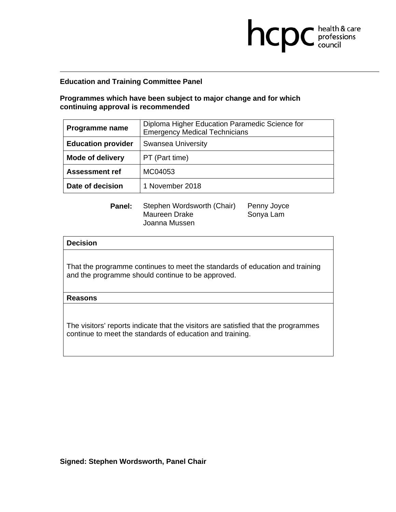## **Programmes which have been subject to major change and for which continuing approval is recommended**

| Programme name            | Diploma Higher Education Paramedic Science for<br><b>Emergency Medical Technicians</b> |  |
|---------------------------|----------------------------------------------------------------------------------------|--|
| <b>Education provider</b> | <b>Swansea University</b>                                                              |  |
| <b>Mode of delivery</b>   | PT (Part time)                                                                         |  |
| <b>Assessment ref</b>     | MC04053                                                                                |  |
| Date of decision          | 1 November 2018                                                                        |  |

**health & care** 

| Panel: | Stephen Wordsworth (Chair) | Penny Joyce |
|--------|----------------------------|-------------|
|        | Maureen Drake              | Sonya Lam   |
|        | Joanna Mussen              |             |

# **Decision**

That the programme continues to meet the standards of education and training and the programme should continue to be approved.

#### **Reasons**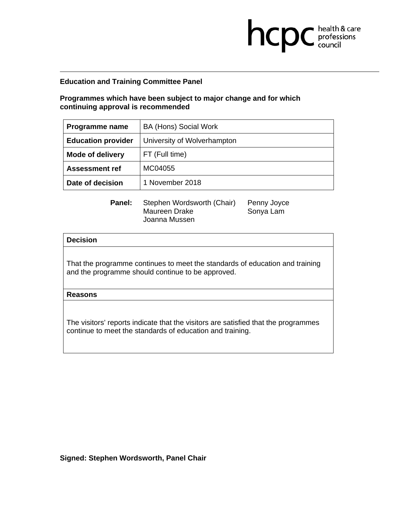**Programmes which have been subject to major change and for which continuing approval is recommended** 

| Programme name            | BA (Hons) Social Work       |
|---------------------------|-----------------------------|
| <b>Education provider</b> | University of Wolverhampton |
| <b>Mode of delivery</b>   | FT (Full time)              |
| <b>Assessment ref</b>     | MC04055                     |
| Date of decision          | 1 November 2018             |

**health & care** 

| <b>Panel:</b> | Stephen Wordsworth (Chair) | Penny Joyce |
|---------------|----------------------------|-------------|
|               | Maureen Drake              | Sonya Lam   |
|               | Joanna Mussen              |             |

## **Decision**

That the programme continues to meet the standards of education and training and the programme should continue to be approved.

#### **Reasons**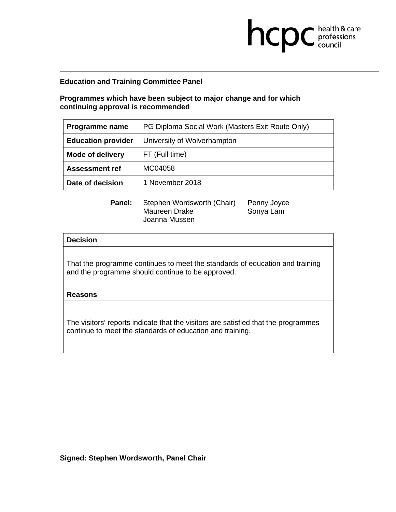## **Programmes which have been subject to major change and for which continuing approval is recommended**

| Programme name            | PG Diploma Social Work (Masters Exit Route Only) |  |
|---------------------------|--------------------------------------------------|--|
| <b>Education provider</b> | University of Wolverhampton                      |  |
| <b>Mode of delivery</b>   | FT (Full time)                                   |  |
| <b>Assessment ref</b>     | MC04058                                          |  |
| Date of decision          | 1 November 2018                                  |  |

**health & care** 

| <b>Panel:</b> | Stephen Wordsworth (Chair) | Penny Joyce |
|---------------|----------------------------|-------------|
|               | Maureen Drake              | Sonya Lam   |
|               | Joanna Mussen              |             |

## **Decision**

That the programme continues to meet the standards of education and training and the programme should continue to be approved.

#### **Reasons**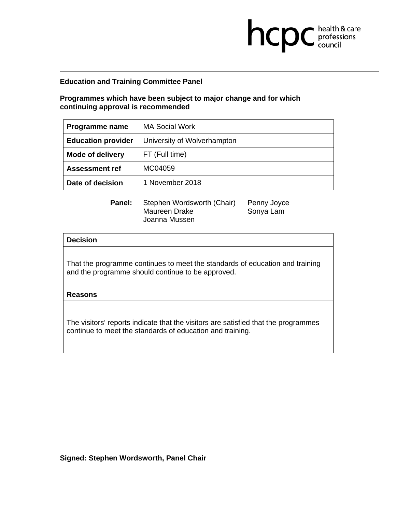**Programmes which have been subject to major change and for which continuing approval is recommended** 

| Programme name            | <b>MA Social Work</b>       |
|---------------------------|-----------------------------|
| <b>Education provider</b> | University of Wolverhampton |
| <b>Mode of delivery</b>   | FT (Full time)              |
| <b>Assessment ref</b>     | MC04059                     |
| Date of decision          | 1 November 2018             |

 $Joyce$ 

**health & care** 

| <b>Panel:</b> | Stephen Wordsworth (Chair) | Penny Joyce |
|---------------|----------------------------|-------------|
|               | Maureen Drake              | Sonya Lam   |
|               | Joanna Mussen              |             |

## **Decision**

That the programme continues to meet the standards of education and training and the programme should continue to be approved.

#### **Reasons**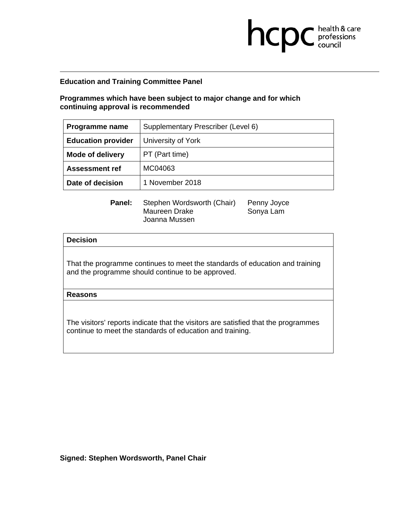## **Programmes which have been subject to major change and for which continuing approval is recommended**

| Programme name            | Supplementary Prescriber (Level 6) |
|---------------------------|------------------------------------|
| <b>Education provider</b> | University of York                 |
| <b>Mode of delivery</b>   | PT (Part time)                     |
| <b>Assessment ref</b>     | MC04063                            |
| Date of decision          | 1 November 2018                    |

 $Joyce$ 

**health & care** 

| Panel: | Stephen Wordsworth (Chair) | Penny Joyc |
|--------|----------------------------|------------|
|        | Maureen Drake              | Sonya Lam  |
|        | Joanna Mussen              |            |

## **Decision**

That the programme continues to meet the standards of education and training and the programme should continue to be approved.

#### **Reasons**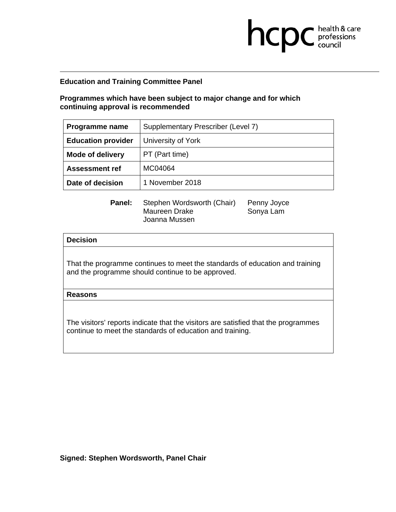## **Programmes which have been subject to major change and for which continuing approval is recommended**

| Programme name            | Supplementary Prescriber (Level 7) |
|---------------------------|------------------------------------|
| <b>Education provider</b> | University of York                 |
| <b>Mode of delivery</b>   | PT (Part time)                     |
| <b>Assessment ref</b>     | MC04064                            |
| Date of decision          | 1 November 2018                    |

**health & care** 

| Panel: | Stephen Wordsworth (Chair) | Penny Joyce |
|--------|----------------------------|-------------|
|        | Maureen Drake              | Sonya Lam   |
|        | Joanna Mussen              |             |

## **Decision**

That the programme continues to meet the standards of education and training and the programme should continue to be approved.

#### **Reasons**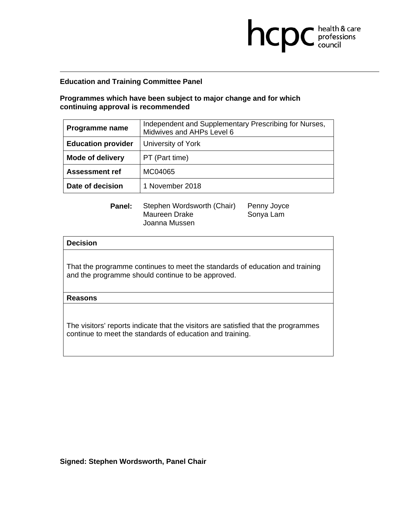## **Programmes which have been subject to major change and for which continuing approval is recommended**

| Programme name            | Independent and Supplementary Prescribing for Nurses,<br>Midwives and AHPs Level 6 |  |
|---------------------------|------------------------------------------------------------------------------------|--|
| <b>Education provider</b> | University of York                                                                 |  |
| Mode of delivery          | PT (Part time)                                                                     |  |
| <b>Assessment ref</b>     | MC04065                                                                            |  |
| Date of decision          | 1 November 2018                                                                    |  |

**health & care** 

| Panel: | Stephen Wordsworth (Chair) | Penny Joyce |
|--------|----------------------------|-------------|
|        | Maureen Drake              | Sonya Lam   |
|        | Joanna Mussen              |             |

## **Decision**

That the programme continues to meet the standards of education and training and the programme should continue to be approved.

#### **Reasons**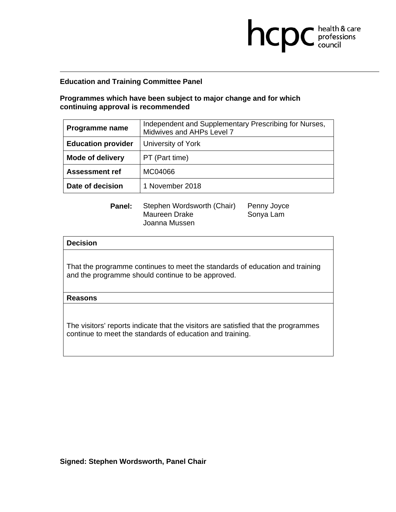## **Programmes which have been subject to major change and for which continuing approval is recommended**

| Programme name            | Independent and Supplementary Prescribing for Nurses,<br>Midwives and AHPs Level 7 |  |
|---------------------------|------------------------------------------------------------------------------------|--|
| <b>Education provider</b> | University of York                                                                 |  |
| <b>Mode of delivery</b>   | PT (Part time)                                                                     |  |
| <b>Assessment ref</b>     | MC04066                                                                            |  |
| Date of decision          | 1 November 2018                                                                    |  |

**health & care** 

| Panel: | Stephen Wordsworth (Chair) | Penny Joyce |
|--------|----------------------------|-------------|
|        | Maureen Drake              | Sonya Lam   |
|        | Joanna Mussen              |             |

# **Decision**  That the programme continues to meet the standards of education and training and the programme should continue to be approved.

#### **Reasons**